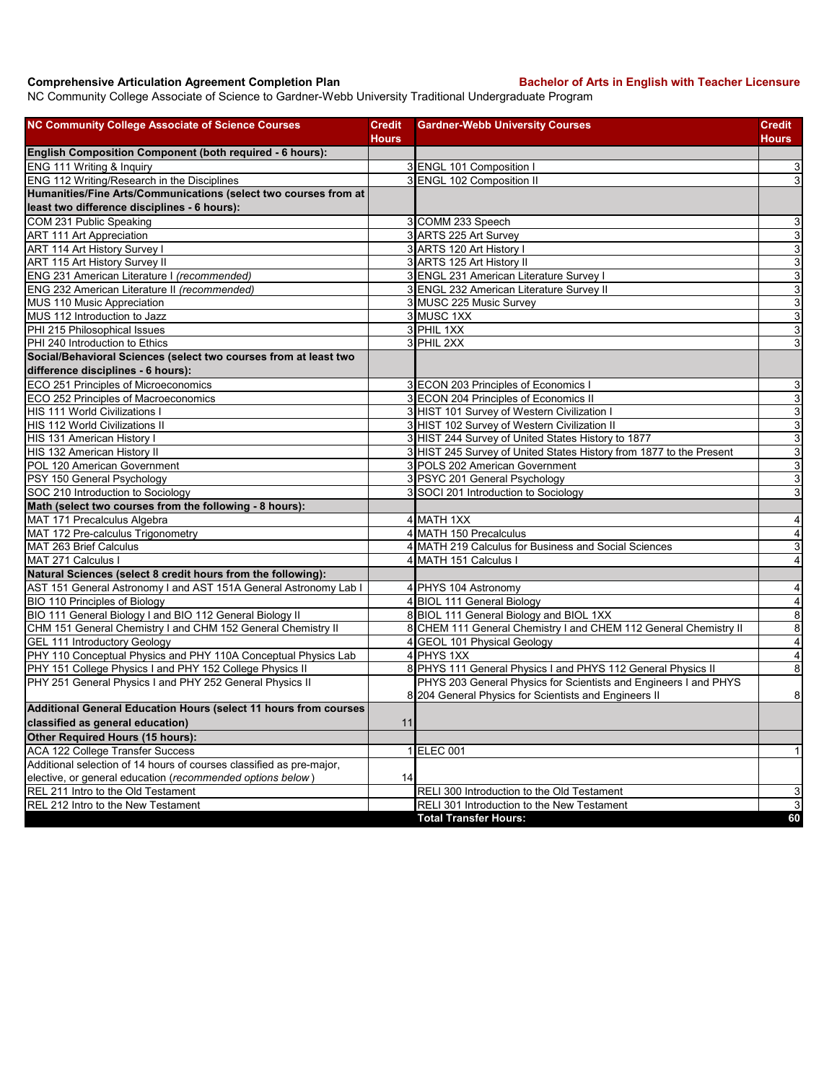## **Comprehensive Articulation Agreement Completion Plan Backelor of Arts in English with Teacher Licensure**

NC Community College Associate of Science to Gardner-Webb University Traditional Undergraduate Program

| <b>NC Community College Associate of Science Courses</b>                                                             | <b>Credit</b> | <b>Gardner-Webb University Courses</b>                                                                                    | Credit                    |
|----------------------------------------------------------------------------------------------------------------------|---------------|---------------------------------------------------------------------------------------------------------------------------|---------------------------|
| <b>English Composition Component (both required - 6 hours):</b>                                                      | <b>Hours</b>  |                                                                                                                           | Hours                     |
| ENG 111 Writing & Inquiry                                                                                            |               | 3 ENGL 101 Composition I                                                                                                  | $\mathsf 3$               |
| ENG 112 Writing/Research in the Disciplines                                                                          |               | 3 ENGL 102 Composition II                                                                                                 | $\ensuremath{\mathsf{3}}$ |
| Humanities/Fine Arts/Communications (select two courses from at                                                      |               |                                                                                                                           |                           |
| least two difference disciplines - 6 hours):                                                                         |               |                                                                                                                           |                           |
| COM 231 Public Speaking                                                                                              |               | 3 COMM 233 Speech                                                                                                         | 3                         |
| <b>ART 111 Art Appreciation</b>                                                                                      |               | 3 ARTS 225 Art Survey                                                                                                     | دن                        |
| ART 114 Art History Survey I                                                                                         |               | 3 ARTS 120 Art History I                                                                                                  | $\overline{3}$            |
| ART 115 Art History Survey II                                                                                        |               | 3 ARTS 125 Art History II                                                                                                 | $\overline{3}$            |
| ENG 231 American Literature I (recommended)                                                                          |               | 3 ENGL 231 American Literature Survey I                                                                                   | $\mathsf 3$               |
| ENG 232 American Literature II (recommended)                                                                         |               | 3 ENGL 232 American Literature Survey II                                                                                  | 3                         |
| MUS 110 Music Appreciation                                                                                           |               | 3 MUSC 225 Music Survey                                                                                                   | ω                         |
| MUS 112 Introduction to Jazz                                                                                         |               | 3 MUSC 1XX                                                                                                                | $\overline{3}$            |
| PHI 215 Philosophical Issues                                                                                         |               | 3 PHIL 1XX                                                                                                                | ω                         |
| PHI 240 Introduction to Ethics                                                                                       |               | 3 PHIL 2XX                                                                                                                | 3                         |
| Social/Behavioral Sciences (select two courses from at least two                                                     |               |                                                                                                                           |                           |
| difference disciplines - 6 hours):                                                                                   |               |                                                                                                                           |                           |
| ECO 251 Principles of Microeconomics                                                                                 |               | 3 ECON 203 Principles of Economics I                                                                                      | 3                         |
| ECO 252 Principles of Macroeconomics                                                                                 |               | 3 ECON 204 Principles of Economics II                                                                                     | $\ensuremath{\mathsf{3}}$ |
| <b>HIS 111 World Civilizations I</b>                                                                                 |               | 3 HIST 101 Survey of Western Civilization I                                                                               | $\mathbf{3}$              |
| HIS 112 World Civilizations II                                                                                       |               | 3 HIST 102 Survey of Western Civilization II                                                                              | $\overline{3}$            |
| HIS 131 American History I                                                                                           |               | 3 HIST 244 Survey of United States History to 1877                                                                        | ω                         |
| HIS 132 American History II                                                                                          |               | 3 HIST 245 Survey of United States History from 1877 to the Present                                                       | $\overline{3}$            |
| POL 120 American Government                                                                                          |               | 3 POLS 202 American Government                                                                                            | 3                         |
| PSY 150 General Psychology                                                                                           |               | 3 PSYC 201 General Psychology                                                                                             | $\mathsf 3$               |
| SOC 210 Introduction to Sociology                                                                                    |               | 3 SOCI 201 Introduction to Sociology                                                                                      | 3                         |
| Math (select two courses from the following - 8 hours):                                                              |               |                                                                                                                           |                           |
| MAT 171 Precalculus Algebra                                                                                          |               | 4 MATH 1XX                                                                                                                | $\overline{4}$            |
| MAT 172 Pre-calculus Trigonometry                                                                                    |               | 4 MATH 150 Precalculus                                                                                                    | 4                         |
| MAT 263 Brief Calculus                                                                                               |               | 4 MATH 219 Calculus for Business and Social Sciences                                                                      | 3                         |
| MAT 271 Calculus I                                                                                                   |               | 4 MATH 151 Calculus I                                                                                                     | $\overline{4}$            |
| Natural Sciences (select 8 credit hours from the following):                                                         |               |                                                                                                                           |                           |
|                                                                                                                      |               |                                                                                                                           | $\overline{4}$            |
| AST 151 General Astronomy I and AST 151A General Astronomy Lab I<br><b>BIO 110 Principles of Biology</b>             |               | 4 PHYS 104 Astronomy<br>4 BIOL 111 General Biology                                                                        | $\overline{4}$            |
| BIO 111 General Biology I and BIO 112 General Biology II                                                             |               | 8 BIOL 111 General Biology and BIOL 1XX                                                                                   | $\bf8$                    |
|                                                                                                                      |               |                                                                                                                           | 8                         |
| CHM 151 General Chemistry I and CHM 152 General Chemistry II                                                         |               | 8 CHEM 111 General Chemistry I and CHEM 112 General Chemistry II<br>4 GEOL 101 Physical Geology                           | $\overline{4}$            |
| GEL 111 Introductory Geology<br>PHY 110 Conceptual Physics and PHY 110A Conceptual Physics Lab                       |               | 4 PHYS 1XX                                                                                                                |                           |
|                                                                                                                      |               |                                                                                                                           | $\overline{4}$<br>8       |
| PHY 151 College Physics I and PHY 152 College Physics II<br>PHY 251 General Physics I and PHY 252 General Physics II |               | 8 PHYS 111 General Physics I and PHYS 112 General Physics II                                                              |                           |
|                                                                                                                      |               | PHYS 203 General Physics for Scientists and Engineers I and PHYS<br>8 204 General Physics for Scientists and Engineers II | $\bf 8$                   |
| Additional General Education Hours (select 11 hours from courses                                                     |               |                                                                                                                           |                           |
| classified as general education)                                                                                     | 11            |                                                                                                                           |                           |
| Other Required Hours (15 hours):                                                                                     |               |                                                                                                                           |                           |
| ACA 122 College Transfer Success                                                                                     |               | 1 ELEC 001                                                                                                                | $\vert$                   |
| Additional selection of 14 hours of courses classified as pre-major,                                                 |               |                                                                                                                           |                           |
| elective, or general education (recommended options below)                                                           | 14            |                                                                                                                           |                           |
| REL 211 Intro to the Old Testament                                                                                   |               | RELI 300 Introduction to the Old Testament                                                                                | $\ensuremath{\mathsf{3}}$ |
| REL 212 Intro to the New Testament                                                                                   |               | RELI 301 Introduction to the New Testament                                                                                | $\mathbf{3}$              |
|                                                                                                                      |               | <b>Total Transfer Hours:</b>                                                                                              | 60                        |